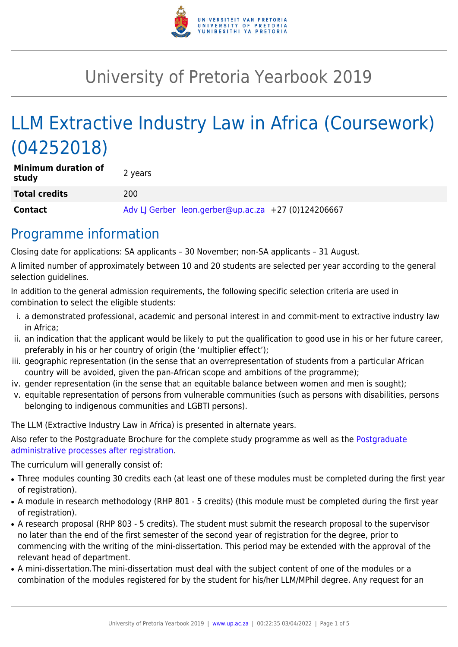

# University of Pretoria Yearbook 2019

# LLM Extractive Industry Law in Africa (Coursework) (04252018)

| <b>Minimum duration of</b><br>study | 2 years                                             |
|-------------------------------------|-----------------------------------------------------|
| <b>Total credits</b>                | 200                                                 |
| <b>Contact</b>                      | Adv LJ Gerber leon.gerber@up.ac.za +27 (0)124206667 |

### Programme information

Closing date for applications: SA applicants – 30 November; non-SA applicants – 31 August.

A limited number of approximately between 10 and 20 students are selected per year according to the general selection guidelines.

In addition to the general admission requirements, the following specific selection criteria are used in combination to select the eligible students:

- i. a demonstrated professional, academic and personal interest in and commit-ment to extractive industry law in Africa;
- ii. an indication that the applicant would be likely to put the qualification to good use in his or her future career, preferably in his or her country of origin (the 'multiplier effect');
- iii. geographic representation (in the sense that an overrepresentation of students from a particular African country will be avoided, given the pan-African scope and ambitions of the programme);
- iv. gender representation (in the sense that an equitable balance between women and men is sought);
- v. equitable representation of persons from vulnerable communities (such as persons with disabilities, persons belonging to indigenous communities and LGBTI persons).

The LLM (Extractive Industry Law in Africa) is presented in alternate years.

Also refer to the [Postgraduate](http://www.up.ac.za/media/shared/10/ZP_Files/post-graduate-administrative-processes-brochures-for-the-faculty-web.zp124870.pdf) Brochure for the complete study programme as well as the Postgraduate [administrative processes after registration.](http://www.up.ac.za/media/shared/10/ZP_Files/post-graduate-administrative-processes-brochures-for-the-faculty-web.zp124870.pdf)

The curriculum will generally consist of:

- Three modules counting 30 credits each (at least one of these modules must be completed during the first year of registration).
- A module in research methodology (RHP 801 5 credits) (this module must be completed during the first year of registration).
- A research proposal (RHP 803 5 credits). The student must submit the research proposal to the supervisor no later than the end of the first semester of the second year of registration for the degree, prior to commencing with the writing of the mini-dissertation. This period may be extended with the approval of the relevant head of department.
- A mini-dissertation. The mini-dissertation must deal with the subject content of one of the modules or a combination of the modules registered for by the student for his/her LLM/MPhil degree. Any request for an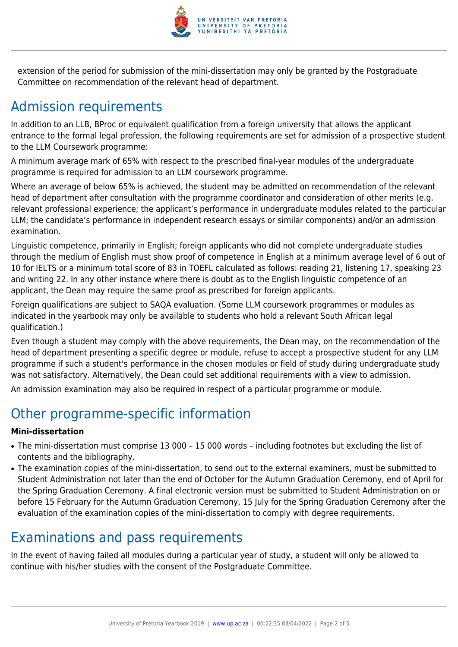

extension of the period for submission of the mini-dissertation may only be granted by the Postgraduate Committee on recommendation of the relevant head of department.

# Admission requirements

In addition to an LLB, BProc or equivalent qualification from a foreign university that allows the applicant entrance to the formal legal profession, the following requirements are set for admission of a prospective student to the LLM Coursework programme:

A minimum average mark of 65% with respect to the prescribed final-year modules of the undergraduate programme is required for admission to an LLM coursework programme.

Where an average of below 65% is achieved, the student may be admitted on recommendation of the relevant head of department after consultation with the programme coordinator and consideration of other merits (e.g. relevant professional experience; the applicant's performance in undergraduate modules related to the particular LLM; the candidate's performance in independent research essays or similar components) and/or an admission examination.

Linguistic competence, primarily in English; foreign applicants who did not complete undergraduate studies through the medium of English must show proof of competence in English at a minimum average level of 6 out of 10 for IELTS or a minimum total score of 83 in TOEFL calculated as follows: reading 21, listening 17, speaking 23 and writing 22. In any other instance where there is doubt as to the English linguistic competence of an applicant, the Dean may require the same proof as prescribed for foreign applicants.

Foreign qualifications are subject to SAQA evaluation. (Some LLM coursework programmes or modules as indicated in the yearbook may only be available to students who hold a relevant South African legal qualification.)

Even though a student may comply with the above requirements, the Dean may, on the recommendation of the head of department presenting a specific degree or module, refuse to accept a prospective student for any LLM programme if such a student's performance in the chosen modules or field of study during undergraduate study was not satisfactory. Alternatively, the Dean could set additional requirements with a view to admission.

An admission examination may also be required in respect of a particular programme or module.

# Other programme-specific information

#### **Mini-dissertation**

- The mini-dissertation must comprise 13 000 15 000 words including footnotes but excluding the list of contents and the bibliography.
- The examination copies of the mini-dissertation, to send out to the external examiners, must be submitted to Student Administration not later than the end of October for the Autumn Graduation Ceremony, end of April for the Spring Graduation Ceremony. A final electronic version must be submitted to Student Administration on or before 15 February for the Autumn Graduation Ceremony, 15 July for the Spring Graduation Ceremony after the evaluation of the examination copies of the mini-dissertation to comply with degree requirements.

## Examinations and pass requirements

In the event of having failed all modules during a particular year of study, a student will only be allowed to continue with his/her studies with the consent of the Postgraduate Committee.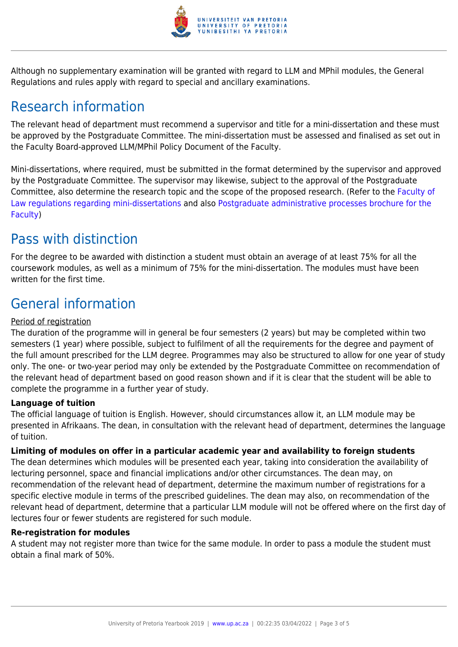

Although no supplementary examination will be granted with regard to LLM and MPhil modules, the General Regulations and rules apply with regard to special and ancillary examinations.

# Research information

The relevant head of department must recommend a supervisor and title for a mini-dissertation and these must be approved by the Postgraduate Committee. The mini-dissertation must be assessed and finalised as set out in the Faculty Board-approved LLM/MPhil Policy Document of the Faculty.

Mini-dissertations, where required, must be submitted in the format determined by the supervisor and approved by the Postgraduate Committee. The supervisor may likewise, subject to the approval of the Postgraduate Committee, also determine the research topic and the scope of the proposed research. (Refer to the [Faculty of](http://www.up.ac.za/media/shared/10/ZP_Files/faculty-regulations-for-the-mini-dissertation.zp124872.pdf) [Law regulations regarding mini-dissertations](http://www.up.ac.za/media/shared/10/ZP_Files/faculty-regulations-for-the-mini-dissertation.zp124872.pdf) and also [Postgraduate administrative processes brochure for the](http://www.up.ac.za/media/shared/10/ZP_Files/post-graduate-administrative-processes-brochures-for-the-faculty-web.zp124870.pdf) [Faculty](http://www.up.ac.za/media/shared/10/ZP_Files/post-graduate-administrative-processes-brochures-for-the-faculty-web.zp124870.pdf))

## Pass with distinction

For the degree to be awarded with distinction a student must obtain an average of at least 75% for all the coursework modules, as well as a minimum of 75% for the mini-dissertation. The modules must have been written for the first time.

# General information

#### Period of registration

The duration of the programme will in general be four semesters (2 years) but may be completed within two semesters (1 year) where possible, subject to fulfilment of all the requirements for the degree and payment of the full amount prescribed for the LLM degree. Programmes may also be structured to allow for one year of study only. The one- or two-year period may only be extended by the Postgraduate Committee on recommendation of the relevant head of department based on good reason shown and if it is clear that the student will be able to complete the programme in a further year of study.

#### **Language of tuition**

The official language of tuition is English. However, should circumstances allow it, an LLM module may be presented in Afrikaans. The dean, in consultation with the relevant head of department, determines the language of tuition.

#### **Limiting of modules on offer in a particular academic year and availability to foreign students**

The dean determines which modules will be presented each year, taking into consideration the availability of lecturing personnel, space and financial implications and/or other circumstances. The dean may, on recommendation of the relevant head of department, determine the maximum number of registrations for a specific elective module in terms of the prescribed guidelines. The dean may also, on recommendation of the relevant head of department, determine that a particular LLM module will not be offered where on the first day of lectures four or fewer students are registered for such module.

#### **Re-registration for modules**

A student may not register more than twice for the same module. In order to pass a module the student must obtain a final mark of 50%.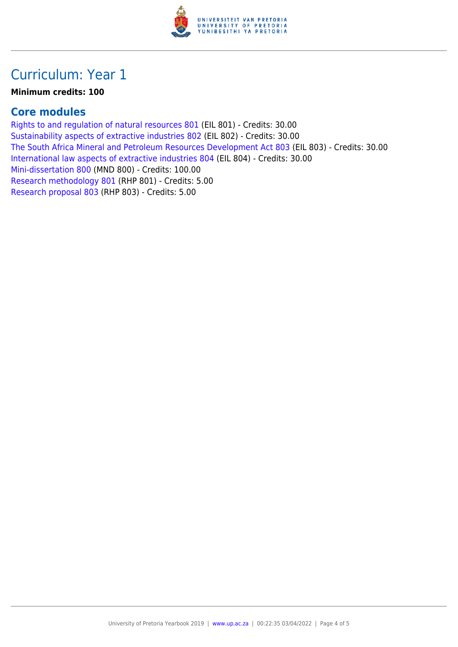

### Curriculum: Year 1

#### **Minimum credits: 100**

#### **Core modules**

[Rights to and regulation of natural resources 801](https://www.up.ac.za/yearbooks/2019/modules/view/EIL 801) (EIL 801) - Credits: 30.00 [Sustainability aspects of extractive industries 802](https://www.up.ac.za/yearbooks/2019/modules/view/EIL 802) (EIL 802) - Credits: 30.00 [The South Africa Mineral and Petroleum Resources Development Act 803](https://www.up.ac.za/yearbooks/2019/modules/view/EIL 803) (EIL 803) - Credits: 30.00 [International law aspects of extractive industries 804](https://www.up.ac.za/yearbooks/2019/modules/view/EIL 804) (EIL 804) - Credits: 30.00 [Mini-dissertation 800](https://www.up.ac.za/yearbooks/2019/modules/view/MND 800) (MND 800) - Credits: 100.00 [Research methodology 801](https://www.up.ac.za/yearbooks/2019/modules/view/RHP 801) (RHP 801) - Credits: 5.00 [Research proposal 803](https://www.up.ac.za/yearbooks/2019/modules/view/RHP 803) (RHP 803) - Credits: 5.00